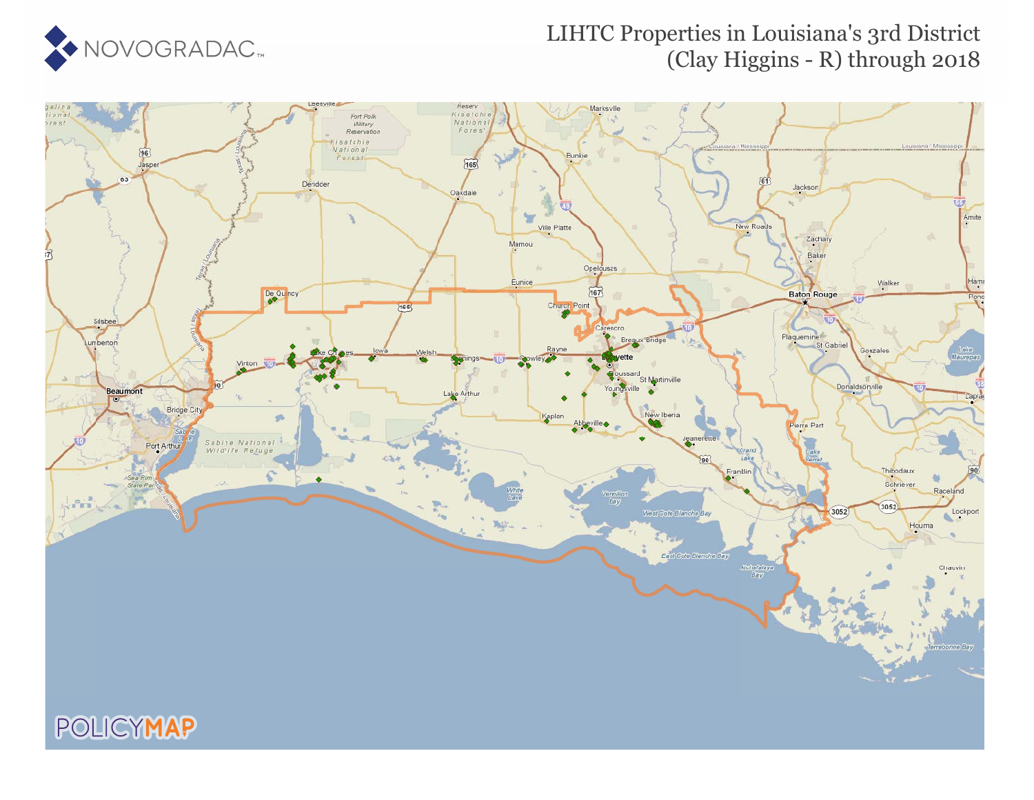

## LIHTC Properties in Louisiana's 3rd District (Clay Higgins - R) through 2018

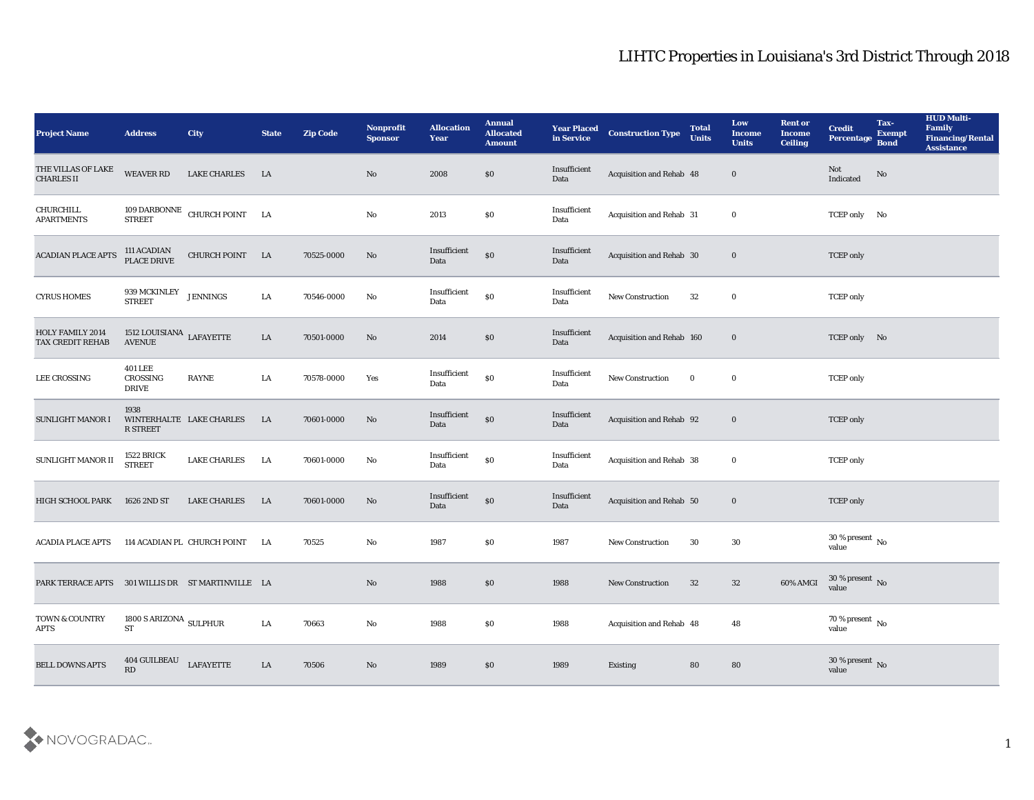| <b>Project Name</b>                               | <b>Address</b>                               | City                         | <b>State</b> | <b>Zip Code</b> | <b>Nonprofit</b><br><b>Sponsor</b> | <b>Allocation</b><br><b>Year</b> | <b>Annual</b><br><b>Allocated</b><br><b>Amount</b> | <b>Year Placed</b><br>in Service | <b>Construction Type</b>  | <b>Total</b><br><b>Units</b> | Low<br><b>Income</b><br><b>Units</b> | <b>Rent or</b><br><b>Income</b><br><b>Ceiling</b> | <b>Credit</b><br>Percentage Bond       | Tax-<br><b>Exempt</b> | <b>HUD Multi-</b><br>Family<br><b>Financing/Rental</b><br><b>Assistance</b> |
|---------------------------------------------------|----------------------------------------------|------------------------------|--------------|-----------------|------------------------------------|----------------------------------|----------------------------------------------------|----------------------------------|---------------------------|------------------------------|--------------------------------------|---------------------------------------------------|----------------------------------------|-----------------------|-----------------------------------------------------------------------------|
| THE VILLAS OF LAKE<br><b>CHARLES II</b>           | WEAVER RD                                    | <b>LAKE CHARLES</b>          | LA           |                 | No                                 | 2008                             | \$0                                                | Insufficient<br>Data             | Acquisition and Rehab 48  |                              | $\bf{0}$                             |                                                   | Not<br>Indicated                       | No                    |                                                                             |
| CHURCHILL<br><b>APARTMENTS</b>                    | <b>STREET</b>                                | 109 DARBONNE CHURCH POINT LA |              |                 | No                                 | 2013                             | \$0                                                | Insufficient<br>Data             | Acquisition and Rehab 31  |                              | $\bf{0}$                             |                                                   | TCEP only No                           |                       |                                                                             |
| <b>ACADIAN PLACE APTS</b>                         | 111 ACADIAN<br>PLACE DRIVE                   | CHURCH POINT LA              |              | 70525-0000      | No                                 | Insufficient<br>Data             | \$0                                                | Insufficient<br>Data             | Acquisition and Rehab 30  |                              | $\bf{0}$                             |                                                   | <b>TCEP</b> only                       |                       |                                                                             |
| <b>CYRUS HOMES</b>                                | 939 MCKINLEY<br><b>STREET</b>                | ${\rm JENNINGS}$             | ${\rm LA}$   | 70546-0000      | No                                 | Insufficient<br>Data             | $\$0$                                              | Insufficient<br>Data             | New Construction          | 32                           | $\bf{0}$                             |                                                   | <b>TCEP</b> only                       |                       |                                                                             |
| <b>HOLY FAMILY 2014</b><br>TAX CREDIT REHAB       | 1512 LOUISIANA LAFAYETTE<br><b>AVENUE</b>    |                              | LA           | 70501-0000      | No                                 | 2014                             | $\$0$                                              | Insufficient<br>Data             | Acquisition and Rehab 160 |                              | $\bf{0}$                             |                                                   | TCEP only No                           |                       |                                                                             |
| <b>LEE CROSSING</b>                               | <b>401 LEE</b><br>CROSSING<br><b>DRIVE</b>   | RAYNE                        | LA           | 70578-0000      | Yes                                | Insufficient<br>Data             | $\$0$                                              | Insufficient<br>Data             | <b>New Construction</b>   | $\bf{0}$                     | $\bf{0}$                             |                                                   | <b>TCEP</b> only                       |                       |                                                                             |
| <b>SUNLIGHT MANOR I</b>                           | 1938<br>R STREET                             | WINTERHALTE LAKE CHARLES     | LA           | 70601-0000      | No                                 | Insufficient<br>Data             | $\$0$                                              | Insufficient<br>Data             | Acquisition and Rehab 92  |                              | $\bf{0}$                             |                                                   | <b>TCEP</b> only                       |                       |                                                                             |
| SUNLIGHT MANOR II                                 | 1522 BRICK<br><b>STREET</b>                  | <b>LAKE CHARLES</b>          | LA           | 70601-0000      | No                                 | Insufficient<br>Data             | $\$0$                                              | Insufficient<br>Data             | Acquisition and Rehab 38  |                              | $\bf{0}$                             |                                                   | <b>TCEP</b> only                       |                       |                                                                             |
| HIGH SCHOOL PARK                                  | 1626 2ND ST                                  | <b>LAKE CHARLES</b>          | LA           | 70601-0000      | No                                 | Insufficient<br>Data             | \$0                                                | Insufficient<br>Data             | Acquisition and Rehab 50  |                              | $\bf{0}$                             |                                                   | <b>TCEP</b> only                       |                       |                                                                             |
| <b>ACADIA PLACE APTS</b>                          |                                              | 114 ACADIAN PL CHURCH POINT  | LA           | 70525           | No                                 | 1987                             | \$0                                                | 1987                             | <b>New Construction</b>   | 30                           | 30                                   |                                                   | $30\,\%$ present $\,$ No $\,$<br>value |                       |                                                                             |
| PARK TERRACE APTS 301 WILLIS DR ST MARTINVILLE LA |                                              |                              |              |                 | No                                 | 1988                             | \$0                                                | 1988                             | <b>New Construction</b>   | 32                           | 32                                   | 60% AMGI                                          | 30 % present No<br>value               |                       |                                                                             |
| TOWN & COUNTRY<br><b>APTS</b>                     | 1800 S ARIZONA $_{\rm SULPHUR}$<br><b>ST</b> |                              | $\rm LA$     | 70663           | $\rm\, No$                         | 1988                             | $\$0$                                              | 1988                             | Acquisition and Rehab 48  |                              | ${\bf 48}$                           |                                                   | $70\,\%$ present $\,$ No value         |                       |                                                                             |
| <b>BELL DOWNS APTS</b>                            | 404 GUILBEAU<br>RD                           | <b>LAFAYETTE</b>             | LA           | 70506           | $\rm\thinspace No$                 | 1989                             | \$0                                                | 1989                             | Existing                  | 80                           | 80                                   |                                                   | $30\,\%$ present $\,$ No value         |                       |                                                                             |

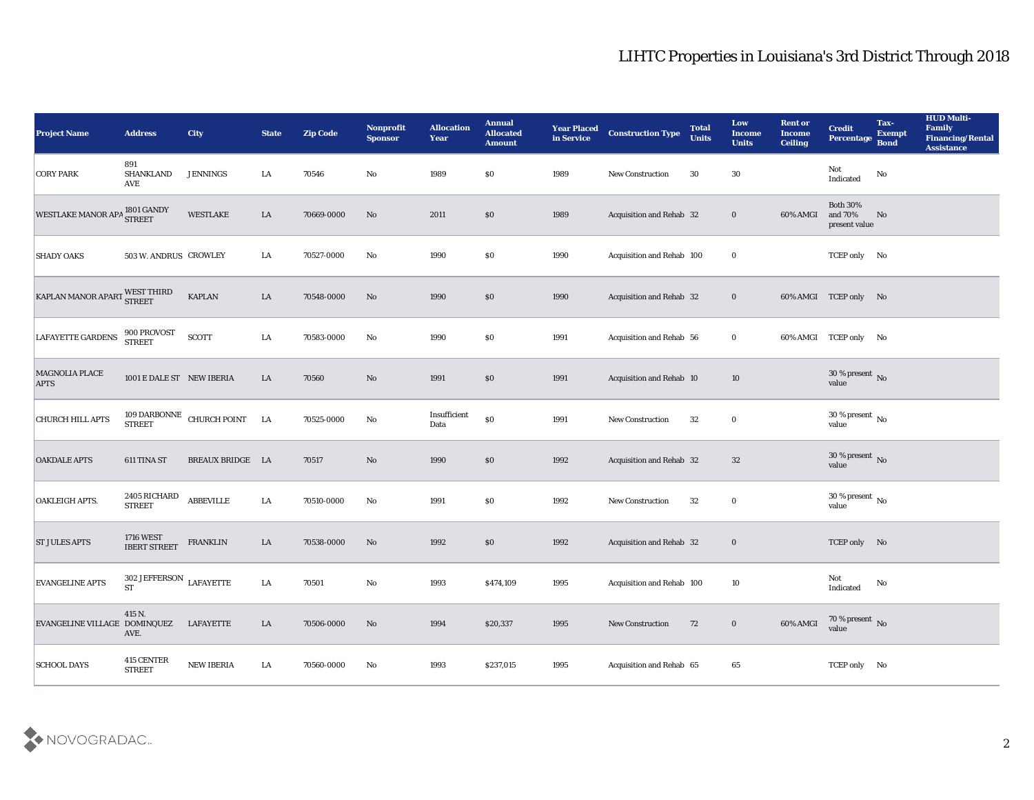| <b>Project Name</b>           | <b>Address</b>                                  | <b>City</b>                                                    | <b>State</b> | <b>Zip Code</b> | Nonprofit<br><b>Sponsor</b> | <b>Allocation</b><br><b>Year</b> | <b>Annual</b><br><b>Allocated</b><br><b>Amount</b> | <b>Year Placed</b><br>in Service | <b>Construction Type</b>        | <b>Total</b><br><b>Units</b> | Low<br>Income<br><b>Units</b> | <b>Rent or</b><br><b>Income</b><br><b>Ceiling</b> | <b>Credit</b><br>Percentage                 | Tax-<br><b>Exempt</b><br><b>Bond</b> | <b>HUD Multi-</b><br>Family<br><b>Financing/Rental</b><br><b>Assistance</b> |
|-------------------------------|-------------------------------------------------|----------------------------------------------------------------|--------------|-----------------|-----------------------------|----------------------------------|----------------------------------------------------|----------------------------------|---------------------------------|------------------------------|-------------------------------|---------------------------------------------------|---------------------------------------------|--------------------------------------|-----------------------------------------------------------------------------|
| <b>CORY PARK</b>              | 891<br><b>SHANKLAND</b><br>$\operatorname{AVE}$ | <b>JENNINGS</b>                                                | LA           | 70546           | No                          | 1989                             | $\$0$                                              | 1989                             | <b>New Construction</b>         | 30                           | 30                            |                                                   | Not<br>$\operatorname{Indicated}$           | No                                   |                                                                             |
| WESTLAKE MANOR APA 1801 GANDY |                                                 | WESTLAKE                                                       | LA           | 70669-0000      | No                          | 2011                             | \$0                                                | 1989                             | Acquisition and Rehab 32        |                              | $\bf{0}$                      | 60% AMGI                                          | <b>Both 30%</b><br>and 70%<br>present value | No                                   |                                                                             |
| <b>SHADY OAKS</b>             | 503 W. ANDRUS CROWLEY                           |                                                                | LA           | 70527-0000      | No                          | 1990                             | \$0                                                | 1990                             | Acquisition and Rehab 100       |                              | $\bf{0}$                      |                                                   | TCEP only No                                |                                      |                                                                             |
| KAPLAN MANOR APART WEST THIRD |                                                 | <b>KAPLAN</b>                                                  | LA           | 70548-0000      | No                          | 1990                             | \$0\$                                              | 1990                             | Acquisition and Rehab 32        |                              | $\bf{0}$                      |                                                   | 60% AMGI TCEP only No                       |                                      |                                                                             |
| <b>LAFAYETTE GARDENS</b>      | 900 PROVOST<br><b>STREET</b>                    | <b>SCOTT</b>                                                   | LA           | 70583-0000      | No                          | 1990                             | $\$0$                                              | 1991                             | Acquisition and Rehab 56        |                              | $\bf{0}$                      |                                                   | 60% AMGI TCEP only No                       |                                      |                                                                             |
| MAGNOLIA PLACE<br><b>APTS</b> | 1001 E DALE ST NEW IBERIA                       |                                                                | LA           | 70560           | No                          | 1991                             | \$0                                                | 1991                             | Acquisition and Rehab 10        |                              | 10                            |                                                   | $30\,\%$ present $\,$ No $\,$<br>value      |                                      |                                                                             |
| <b>CHURCH HILL APTS</b>       |                                                 | $109$ DARBONNE $\,$ CHURCH POINT $\,$ $\,$ LA $\,$ STREET $\,$ |              | 70525-0000      | $\mathbf{No}$               | Insufficient<br>Data             | \$0                                                | 1991                             | <b>New Construction</b>         | 32                           | $\bf{0}$                      |                                                   | 30 % present $\,$ No $\,$<br>value          |                                      |                                                                             |
| <b>OAKDALE APTS</b>           | 611 TINA ST                                     | <b>BREAUX BRIDGE LA</b>                                        |              | 70517           | No                          | 1990                             | \$0                                                | 1992                             | <b>Acquisition and Rehab 32</b> |                              | 32                            |                                                   | 30 % present $\sqrt{\ }$ No<br>value        |                                      |                                                                             |
| OAKLEIGH APTS.                | $2405\,$ RICHARD<br><b>STREET</b>               | <b>ABBEVILLE</b>                                               | LA           | 70510-0000      | No                          | 1991                             | $\$0$                                              | 1992                             | New Construction                | 32                           | $\bf{0}$                      |                                                   | $30\,\%$ present $\,$ No value              |                                      |                                                                             |
| <b>ST JULES APTS</b>          | <b>1716 WEST</b><br><b>IBERT STREET</b>         | <b>FRANKLIN</b>                                                | LA           | 70538-0000      | No                          | 1992                             | \$0                                                | 1992                             | Acquisition and Rehab 32        |                              | $\bf{0}$                      |                                                   | TCEP only No                                |                                      |                                                                             |
| <b>EVANGELINE APTS</b>        | 302 JEFFERSON $_{\rm LAFAYETTE}$<br>${\rm ST}$  |                                                                | LA           | 70501           | No                          | 1993                             | \$474,109                                          | 1995                             | Acquisition and Rehab 100       |                              | 10                            |                                                   | Not<br>Indicated                            | No                                   |                                                                             |
| EVANGELINE VILLAGE DOMINQUEZ  | 415 N.<br>AVE.                                  | <b>LAFAYETTE</b>                                               | ${\rm LA}$   | 70506-0000      | $\mathbf {No}$              | 1994                             | \$20,337                                           | 1995                             | New Construction                | 72                           | $\bf{0}$                      | 60% AMGI                                          | $70\,\%$ present $\,$ No value              |                                      |                                                                             |
| <b>SCHOOL DAYS</b>            | 415 CENTER<br><b>STREET</b>                     | <b>NEW IBERIA</b>                                              | ${\rm LA}$   | 70560-0000      | $\mathbf{No}$               | 1993                             | \$237,015                                          | 1995                             | Acquisition and Rehab 65        |                              | $\bf 65$                      |                                                   | TCEP only No                                |                                      |                                                                             |

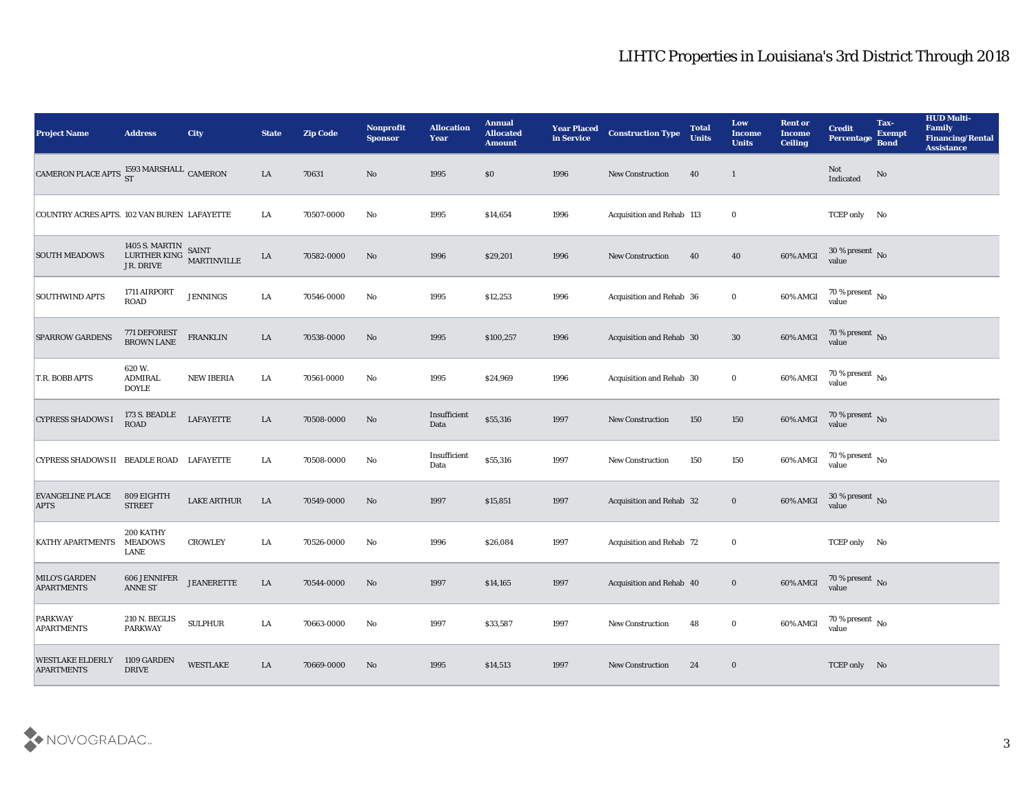| <b>Project Name</b>                                       | <b>Address</b>                               | <b>City</b>                                   | <b>State</b> | <b>Zip Code</b> | Nonprofit<br><b>Sponsor</b> | <b>Allocation</b><br>Year | <b>Annual</b><br><b>Allocated</b><br><b>Amount</b> | <b>Year Placed</b><br>in Service | <b>Construction Type</b>  | <b>Total</b><br><b>Units</b> | Low<br><b>Income</b><br><b>Units</b> | <b>Rent or</b><br><b>Income</b><br><b>Ceiling</b> | <b>Credit</b><br>Percentage        | Tax-<br><b>Exempt</b><br><b>Bond</b> | <b>HUD Multi-</b><br>Family<br><b>Financing/Rental</b><br><b>Assistance</b> |
|-----------------------------------------------------------|----------------------------------------------|-----------------------------------------------|--------------|-----------------|-----------------------------|---------------------------|----------------------------------------------------|----------------------------------|---------------------------|------------------------------|--------------------------------------|---------------------------------------------------|------------------------------------|--------------------------------------|-----------------------------------------------------------------------------|
| CAMERON PLACE APTS $\frac{1593}{\rm ST}$ MARSHALL CAMERON |                                              |                                               | LA           | 70631           | No                          | 1995                      | \$0                                                | 1996                             | <b>New Construction</b>   | 40                           | $\mathbf{1}$                         |                                                   | Not<br>Indicated                   | No                                   |                                                                             |
| COUNTRY ACRES APTS. 102 VAN BUREN LAFAYETTE               |                                              |                                               | LA           | 70507-0000      | No                          | 1995                      | \$14,654                                           | 1996                             | Acquisition and Rehab 113 |                              | $\bf{0}$                             |                                                   | TCEP only No                       |                                      |                                                                             |
| <b>SOUTH MEADOWS</b>                                      | JR. DRIVE                                    | 1405 S. MARTIN SAINT LURTHER KING MARTINVILLE | LA           | 70582-0000      | No                          | 1996                      | \$29,201                                           | 1996                             | New Construction          | 40                           | 40                                   | 60% AMGI                                          | $30\,\%$ present $\,$ No value     |                                      |                                                                             |
| <b>SOUTHWIND APTS</b>                                     | 1711 AIRPORT<br><b>ROAD</b>                  | <b>JENNINGS</b>                               | LA           | 70546-0000      | No                          | 1995                      | \$12,253                                           | 1996                             | Acquisition and Rehab 36  |                              | $\bf{0}$                             | 60% AMGI                                          | $70\,\%$ present $\,$ No value     |                                      |                                                                             |
| <b>SPARROW GARDENS</b>                                    | 771 DEFOREST<br>BROWN LANE                   | <b>FRANKLIN</b>                               | LA           | 70538-0000      | No                          | 1995                      | \$100,257                                          | 1996                             | Acquisition and Rehab 30  |                              | 30                                   | 60% AMGI                                          | $70\,\%$ present $\,$ No value     |                                      |                                                                             |
| T.R. BOBB APTS                                            | 620 W.<br><b>ADMIRAL</b><br><b>DOYLE</b>     | <b>NEW IBERIA</b>                             | LA           | 70561-0000      | No                          | 1995                      | \$24,969                                           | 1996                             | Acquisition and Rehab 30  |                              | $\bf{0}$                             | 60% AMGI                                          | $70\,\%$ present $\,$ No value     |                                      |                                                                             |
| <b>CYPRESS SHADOWS I</b>                                  | 173 S. BEADLE<br>ROAD                        | LAFAYETTE                                     | ${\rm LA}$   | 70508-0000      | $\mathbf{N}\mathbf{o}$      | Insufficient<br>Data      | \$55,316                                           | 1997                             | <b>New Construction</b>   | 150                          | 150                                  | 60% AMGI                                          | $70\,\%$ present $\,$ No value     |                                      |                                                                             |
| CYPRESS SHADOWS II BEADLE ROAD LAFAYETTE                  |                                              |                                               | LA           | 70508-0000      | No                          | Insufficient<br>Data      | \$55,316                                           | 1997                             | <b>New Construction</b>   | 150                          | 150                                  | 60% AMGI                                          | 70 % present $\,$ No $\,$<br>value |                                      |                                                                             |
| <b>EVANGELINE PLACE</b><br><b>APTS</b>                    | 809 EIGHTH<br><b>STREET</b>                  | <b>LAKE ARTHUR</b>                            | LA           | 70549-0000      | No                          | 1997                      | \$15,851                                           | 1997                             | Acquisition and Rehab 32  |                              | $\bf{0}$                             | 60% AMGI                                          | $30\,\%$ present $\,$ No value     |                                      |                                                                             |
| KATHY APARTMENTS                                          | 200 KATHY<br><b>MEADOWS</b><br>LANE          | <b>CROWLEY</b>                                | LA           | 70526-0000      | No                          | 1996                      | \$26,084                                           | 1997                             | Acquisition and Rehab 72  |                              | $\bf{0}$                             |                                                   | TCEP only No                       |                                      |                                                                             |
| <b>MILO'S GARDEN</b><br><b>APARTMENTS</b>                 | 606 JENNIFER<br><b>ANNE ST</b>               | <b>JEANERETTE</b>                             | LA           | 70544-0000      | No                          | 1997                      | \$14,165                                           | 1997                             | Acquisition and Rehab 40  |                              | $\bf{0}$                             | 60% AMGI                                          | 70 % present No<br>value           |                                      |                                                                             |
| PARKWAY<br><b>APARTMENTS</b>                              | 210 N. BEGLIS<br><b>PARKWAY</b>              | <b>SULPHUR</b>                                | LA           | 70663-0000      | $\mathbf{N}\mathbf{o}$      | 1997                      | \$33,587                                           | 1997                             | New Construction          | 48                           | $\bf{0}$                             | 60% AMGI                                          | $70\,\%$ present $\,$ No value     |                                      |                                                                             |
| <b>WESTLAKE ELDERLY</b><br><b>APARTMENTS</b>              | 1109 GARDEN<br>$\ensuremath{\mathsf{DRIVE}}$ | WESTLAKE                                      | LA           | 70669-0000      | No                          | 1995                      | \$14,513                                           | 1997                             | <b>New Construction</b>   | 24                           | $\bf{0}$                             |                                                   | TCEP only No                       |                                      |                                                                             |

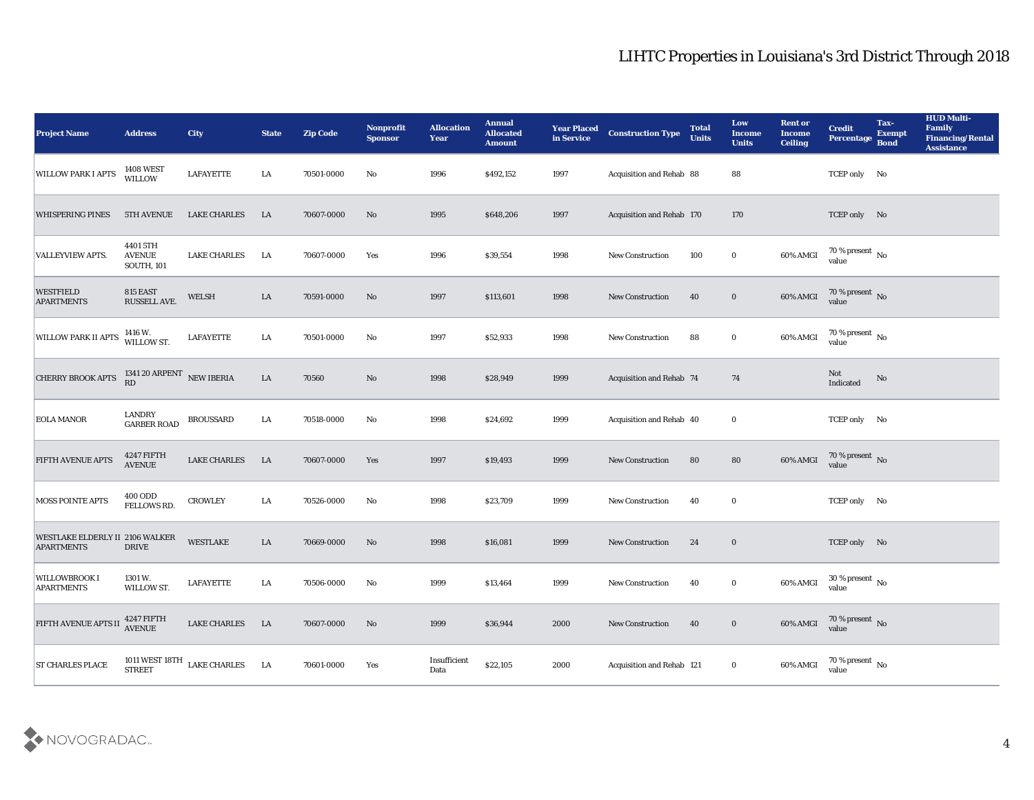| <b>Project Name</b>                                  | <b>Address</b>                                 | <b>City</b>                         | <b>State</b> | <b>Zip Code</b> | Nonprofit<br><b>Sponsor</b> | <b>Allocation</b><br><b>Year</b> | <b>Annual</b><br><b>Allocated</b><br><b>Amount</b> | <b>Year Placed</b><br>in Service | <b>Construction Type</b>        | <b>Total</b><br><b>Units</b> | Low<br>Income<br><b>Units</b> | <b>Rent or</b><br>Income<br><b>Ceiling</b> | <b>Credit</b><br>Percentage        | Tax-<br><b>Exempt</b><br><b>Bond</b> | <b>HUD Multi-</b><br>Family<br><b>Financing/Rental</b><br><b>Assistance</b> |
|------------------------------------------------------|------------------------------------------------|-------------------------------------|--------------|-----------------|-----------------------------|----------------------------------|----------------------------------------------------|----------------------------------|---------------------------------|------------------------------|-------------------------------|--------------------------------------------|------------------------------------|--------------------------------------|-----------------------------------------------------------------------------|
| <b>WILLOW PARK I APTS</b>                            | <b>1408 WEST</b><br>WILLOW                     | <b>LAFAYETTE</b>                    | LA           | 70501-0000      | No                          | 1996                             | \$492,152                                          | 1997                             | Acquisition and Rehab 88        |                              | 88                            |                                            | TCEP only No                       |                                      |                                                                             |
| <b>WHISPERING PINES</b>                              | <b>5TH AVENUE</b>                              | <b>LAKE CHARLES</b>                 | LA           | 70607-0000      | No                          | 1995                             | \$648,206                                          | 1997                             | Acquisition and Rehab 170       |                              | 170                           |                                            | TCEP only No                       |                                      |                                                                             |
| <b>VALLEYVIEW APTS.</b>                              | 4401 5TH<br><b>AVENUE</b><br><b>SOUTH, 101</b> | <b>LAKE CHARLES</b>                 | LA           | 70607-0000      | Yes                         | 1996                             | \$39,554                                           | 1998                             | <b>New Construction</b>         | 100                          | $\bf{0}$                      | 60% AMGI                                   | 70 % present $\,$ No $\,$<br>value |                                      |                                                                             |
| <b>WESTFIELD</b><br><b>APARTMENTS</b>                | 815 EAST<br>RUSSELL AVE.                       | <b>WELSH</b>                        | LA           | 70591-0000      | No                          | 1997                             | \$113,601                                          | 1998                             | <b>New Construction</b>         | 40                           | $\bf{0}$                      | 60% AMGI                                   | $70\,\%$ present $\,$ No value     |                                      |                                                                             |
| <b>WILLOW PARK II APTS</b>                           | 1416 W.<br>WILLOW ST.                          | <b>LAFAYETTE</b>                    | LA           | 70501-0000      | No                          | 1997                             | \$52,933                                           | 1998                             | <b>New Construction</b>         | 88                           | $\bf{0}$                      | 60% AMGI                                   | 70 % present $\,$ No $\,$<br>value |                                      |                                                                             |
| <b>CHERRY BROOK APTS</b>                             | 1341 20 ARPENT $\,$ NEW IBERIA RD              |                                     | ${\rm LA}$   | 70560           | No                          | 1998                             | \$28,949                                           | 1999                             | <b>Acquisition and Rehab 74</b> |                              | 74                            |                                            | Not<br>Indicated                   | No                                   |                                                                             |
| <b>EOLA MANOR</b>                                    | <b>LANDRY</b><br><b>GARBER ROAD</b>            | <b>BROUSSARD</b>                    | LA           | 70518-0000      | No                          | 1998                             | \$24,692                                           | 1999                             | Acquisition and Rehab 40        |                              | $\bf{0}$                      |                                            | TCEP only No                       |                                      |                                                                             |
| <b>FIFTH AVENUE APTS</b>                             | 4247 FIFTH<br><b>AVENUE</b>                    | <b>LAKE CHARLES</b>                 | LA           | 70607-0000      | Yes                         | 1997                             | \$19,493                                           | 1999                             | <b>New Construction</b>         | 80                           | 80                            | 60% AMGI                                   | $70\,\%$ present $\,$ No value     |                                      |                                                                             |
| <b>MOSS POINTE APTS</b>                              | 400 ODD<br>FELLOWS RD.                         | <b>CROWLEY</b>                      | LA           | 70526-0000      | No                          | 1998                             | \$23,709                                           | 1999                             | <b>New Construction</b>         | 40                           | $\bf{0}$                      |                                            | TCEP only No                       |                                      |                                                                             |
| WESTLAKE ELDERLY II 2106 WALKER<br><b>APARTMENTS</b> | <b>DRIVE</b>                                   | <b>WESTLAKE</b>                     | LA           | 70669-0000      | No                          | 1998                             | \$16,081                                           | 1999                             | <b>New Construction</b>         | 24                           | $\bf{0}$                      |                                            | TCEP only No                       |                                      |                                                                             |
| <b>WILLOWBROOK I</b><br><b>APARTMENTS</b>            | 1301 W.<br>WILLOW ST.                          | <b>LAFAYETTE</b>                    | LA           | 70506-0000      | No                          | 1999                             | \$13,464                                           | 1999                             | <b>New Construction</b>         | 40                           | $\bf{0}$                      | 60% AMGI                                   | 30 % present $\,$ No $\,$<br>value |                                      |                                                                             |
| FIFTH AVENUE APTS II                                 | 4247 FIFTH<br>AVENUE                           | LAKE CHARLES                        | LA           | 70607-0000      | $\rm\thinspace No$          | 1999                             | \$36,944                                           | 2000                             | New Construction                | 40                           | $\bf{0}$                      | 60% AMGI                                   | $70\,\%$ present $\,$ No value     |                                      |                                                                             |
| <b>ST CHARLES PLACE</b>                              |                                                | 1011 WEST 18TH $$\tt LAKE~CHARLES$$ | LA           | 70601-0000      | Yes                         | Insufficient<br>Data             | \$22,105                                           | 2000                             | Acquisition and Rehab 121       |                              | $\bf{0}$                      | 60% AMGI                                   | 70 % present $\,$ No $\,$<br>value |                                      |                                                                             |

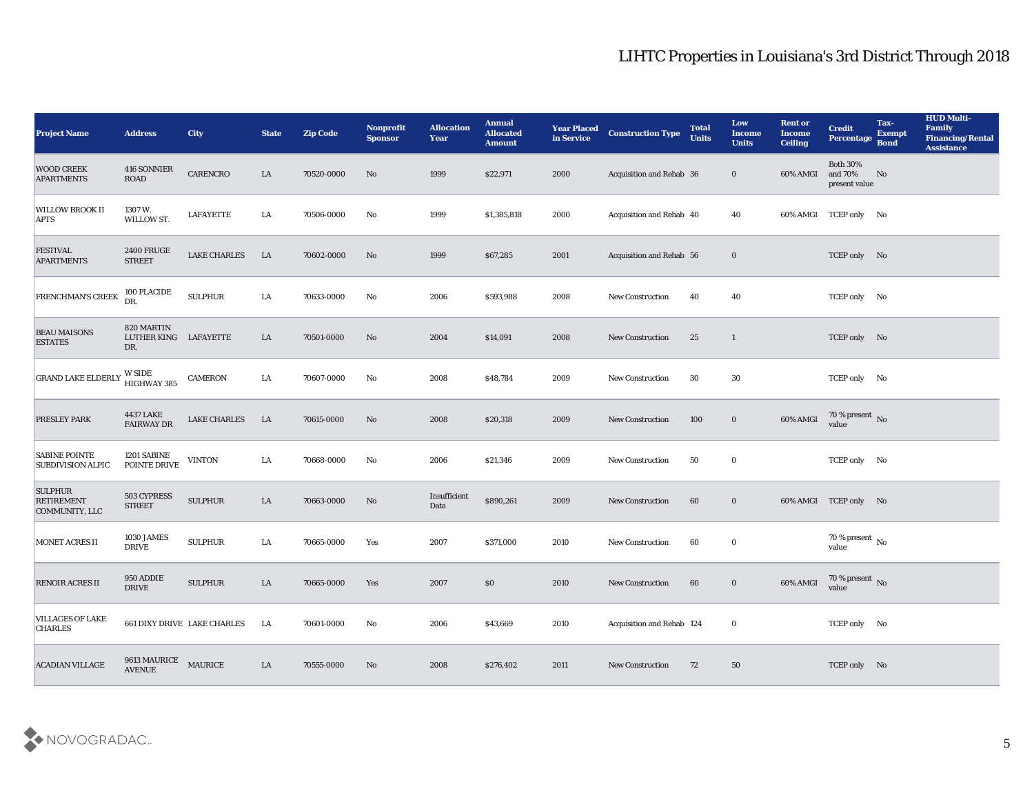| <b>Project Name</b>                                   | <b>Address</b>                             | City                               | <b>State</b> | <b>Zip Code</b> | Nonprofit<br><b>Sponsor</b> | <b>Allocation</b><br><b>Year</b> | <b>Annual</b><br><b>Allocated</b><br><b>Amount</b> | <b>Year Placed</b><br>in Service | <b>Construction Type</b>  | <b>Total</b><br><b>Units</b> | Low<br><b>Income</b><br><b>Units</b> | <b>Rent or</b><br>Income<br><b>Ceiling</b> | <b>Credit</b><br>Percentage                 | Tax-<br><b>Exempt</b><br><b>Bond</b> | <b>HUD Multi-</b><br>Family<br><b>Financing/Rental</b><br><b>Assistance</b> |
|-------------------------------------------------------|--------------------------------------------|------------------------------------|--------------|-----------------|-----------------------------|----------------------------------|----------------------------------------------------|----------------------------------|---------------------------|------------------------------|--------------------------------------|--------------------------------------------|---------------------------------------------|--------------------------------------|-----------------------------------------------------------------------------|
| <b>WOOD CREEK</b><br><b>APARTMENTS</b>                | 416 SONNIER<br><b>ROAD</b>                 | CARENCRO                           | LA           | 70520-0000      | No                          | 1999                             | \$22,971                                           | 2000                             | Acquisition and Rehab 36  |                              | $\bf{0}$                             | 60% AMGI                                   | <b>Both 30%</b><br>and 70%<br>present value | No                                   |                                                                             |
| <b>WILLOW BROOK II</b><br><b>APTS</b>                 | 1307 W.<br>WILLOW ST.                      | <b>LAFAYETTE</b>                   | LA           | 70506-0000      | No                          | 1999                             | \$1,385,818                                        | 2000                             | Acquisition and Rehab 40  |                              | 40                                   |                                            | 60% AMGI TCEP only No                       |                                      |                                                                             |
| <b>FESTIVAL</b><br><b>APARTMENTS</b>                  | <b>2400 FRUGE</b><br><b>STREET</b>         | <b>LAKE CHARLES</b>                | LA           | 70602-0000      | No                          | 1999                             | \$67,285                                           | 2001                             | Acquisition and Rehab 56  |                              | $\bf{0}$                             |                                            | TCEP only No                                |                                      |                                                                             |
| <b>FRENCHMAN'S CREEK</b>                              | 100 PLACIDE<br>DR.                         | <b>SULPHUR</b>                     | LA           | 70633-0000      | No                          | 2006                             | \$593,988                                          | 2008                             | <b>New Construction</b>   | 40                           | 40                                   |                                            | TCEP only No                                |                                      |                                                                             |
| <b>BEAU MAISONS</b><br><b>ESTATES</b>                 | 820 MARTIN<br>LUTHER KING LAFAYETTE<br>DR. |                                    | LA           | 70501-0000      | No                          | 2004                             | \$14,091                                           | 2008                             | <b>New Construction</b>   | 25                           | 1                                    |                                            | TCEP only No                                |                                      |                                                                             |
| <b>GRAND LAKE ELDERLY</b>                             | W SIDE<br>HIGHWAY 385                      | <b>CAMERON</b>                     | LA           | 70607-0000      | No                          | 2008                             | \$48,784                                           | 2009                             | <b>New Construction</b>   | 30                           | 30                                   |                                            | TCEP only No                                |                                      |                                                                             |
| <b>PRESLEY PARK</b>                                   | <b>4437 LAKE</b><br><b>FAIRWAY DR</b>      | <b>LAKE CHARLES</b>                | LA           | 70615-0000      | No                          | 2008                             | \$20,318                                           | 2009                             | <b>New Construction</b>   | 100                          | $\bf{0}$                             | 60% AMGI                                   | $70\,\%$ present $\,$ No value              |                                      |                                                                             |
| <b>SABINE POINTE</b><br><b>SUBDIVISION ALPIC</b>      | 1201 SABINE<br>POINTE DRIVE                | <b>VINTON</b>                      | LA           | 70668-0000      | No                          | 2006                             | \$21,346                                           | 2009                             | <b>New Construction</b>   | 50                           | $\bf{0}$                             |                                            | TCEP only No                                |                                      |                                                                             |
| <b>SULPHUR</b><br><b>RETIREMENT</b><br>COMMUNITY, LLC | 503 CYPRESS<br>$\tt{STREF}$                | <b>SULPHUR</b>                     | LA           | 70663-0000      | No                          | Insufficient<br>Data             | \$890,261                                          | 2009                             | <b>New Construction</b>   | 60                           | $\bf{0}$                             |                                            | 60% AMGI TCEP only No                       |                                      |                                                                             |
| <b>MONET ACRES II</b>                                 | 1030 JAMES<br><b>DRIVE</b>                 | <b>SULPHUR</b>                     | LA           | 70665-0000      | Yes                         | 2007                             | \$371,000                                          | 2010                             | <b>New Construction</b>   | 60                           | $\bf{0}$                             |                                            | 70 % present $\,$ No $\,$<br>value          |                                      |                                                                             |
| <b>RENOIR ACRES II</b>                                | 950 ADDIE<br><b>DRIVE</b>                  | <b>SULPHUR</b>                     | LA           | 70665-0000      | Yes                         | 2007                             | \$0                                                | 2010                             | <b>New Construction</b>   | 60                           | $\bf{0}$                             | 60% AMGI                                   | 70 % present No<br>value                    |                                      |                                                                             |
| <b>VILLAGES OF LAKE</b><br><b>CHARLES</b>             |                                            | <b>661 DIXY DRIVE LAKE CHARLES</b> | LA           | 70601-0000      | $\rm\thinspace No$          | 2006                             | \$43,669                                           | 2010                             | Acquisition and Rehab 124 |                              | $\bf{0}$                             |                                            | TCEP only No                                |                                      |                                                                             |
| <b>ACADIAN VILLAGE</b>                                | 9613 MAURICE<br>AVENUE                     | <b>MAURICE</b>                     | LA           | 70555-0000      | No                          | 2008                             | \$276,402                                          | 2011                             | New Construction          | 72                           | 50                                   |                                            | TCEP only No                                |                                      |                                                                             |

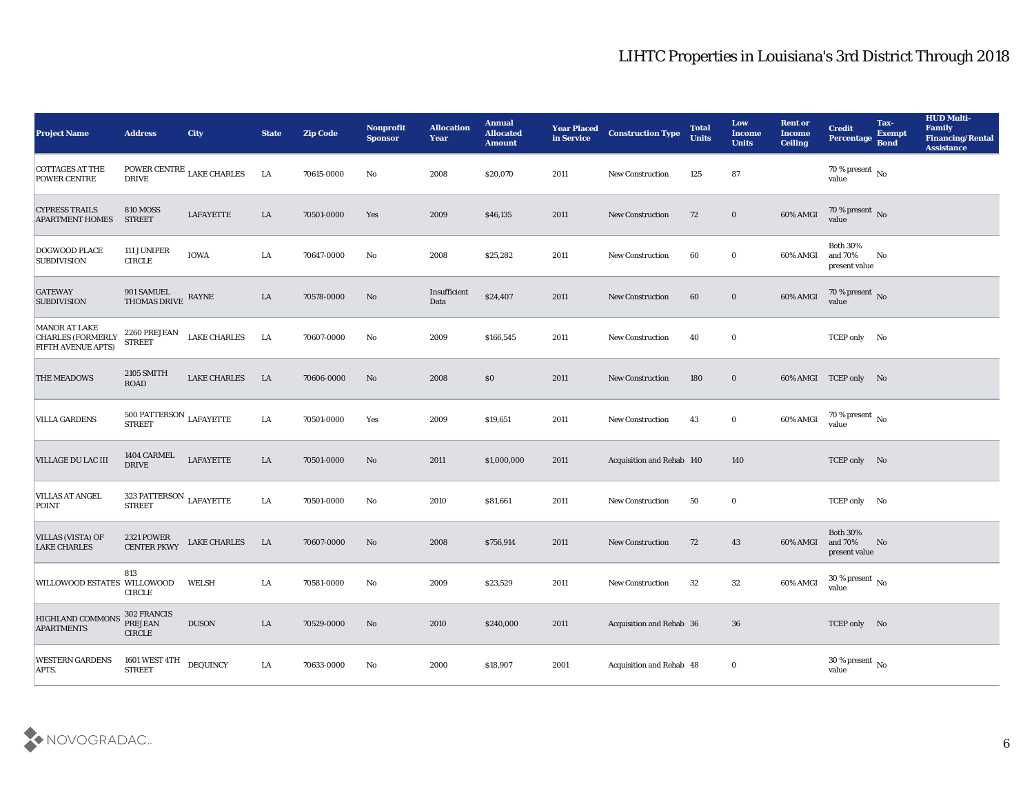| <b>Project Name</b>                                                    | <b>Address</b>                                      | <b>City</b>                        | <b>State</b> | <b>Zip Code</b> | Nonprofit<br><b>Sponsor</b> | <b>Allocation</b><br><b>Year</b> | <b>Annual</b><br><b>Allocated</b><br><b>Amount</b> | <b>Year Placed</b><br>in Service | <b>Construction Type</b>  | <b>Total</b><br><b>Units</b> | Low<br><b>Income</b><br><b>Units</b> | <b>Rent or</b><br><b>Income</b><br><b>Ceiling</b> | <b>Credit</b><br>Percentage                 | Tax-<br><b>Exempt</b><br><b>Bond</b> | <b>HUD Multi-</b><br>Family<br><b>Financing/Rental</b><br><b>Assistance</b> |
|------------------------------------------------------------------------|-----------------------------------------------------|------------------------------------|--------------|-----------------|-----------------------------|----------------------------------|----------------------------------------------------|----------------------------------|---------------------------|------------------------------|--------------------------------------|---------------------------------------------------|---------------------------------------------|--------------------------------------|-----------------------------------------------------------------------------|
| <b>COTTAGES AT THE</b><br>POWER CENTRE                                 | <b>DRIVE</b>                                        | POWER CENTRE $_{\rm LAKE}$ CHARLES | LA           | 70615-0000      | No                          | 2008                             | \$20,070                                           | 2011                             | <b>New Construction</b>   | 125                          | 87                                   |                                                   | 70 % present $\,$ No $\,$<br>value          |                                      |                                                                             |
| <b>CYPRESS TRAILS</b><br><b>APARTMENT HOMES</b>                        | <b>810 MOSS</b><br><b>STREET</b>                    | <b>LAFAYETTE</b>                   | LA           | 70501-0000      | Yes                         | 2009                             | \$46,135                                           | 2011                             | <b>New Construction</b>   | 72                           | $\bf{0}$                             | 60% AMGI                                          | $70\,\%$ present $\,$ No value              |                                      |                                                                             |
| DOGWOOD PLACE<br><b>SUBDIVISION</b>                                    | 111 JUNIPER<br><b>CIRCLE</b>                        | IOWA                               | LA           | 70647-0000      | No                          | 2008                             | \$25,282                                           | 2011                             | <b>New Construction</b>   | 60                           | $\bf{0}$                             | 60% AMGI                                          | <b>Both 30%</b><br>and 70%<br>present value | No                                   |                                                                             |
| <b>GATEWAY</b><br><b>SUBDIVISION</b>                                   | 901 SAMUEL<br>THOMAS DRIVE                          | $\ensuremath{\mathsf{RAYNE}}$      | LA           | 70578-0000      | No                          | Insufficient<br>Data             | \$24,407                                           | 2011                             | <b>New Construction</b>   | 60                           | $\bf{0}$                             | 60% AMGI                                          | $70\,\%$ present $\,$ No value              |                                      |                                                                             |
| MANOR AT LAKE<br><b>CHARLES (FORMERLY</b><br><b>FIFTH AVENUE APTS)</b> | 2260 PREJEAN<br><b>STREET</b>                       | <b>LAKE CHARLES</b>                | LA           | 70607-0000      | No                          | 2009                             | \$166,545                                          | 2011                             | <b>New Construction</b>   | 40                           | $\bf{0}$                             |                                                   | TCEP only No                                |                                      |                                                                             |
| THE MEADOWS                                                            | 2105 SMITH<br>ROAD                                  | <b>LAKE CHARLES</b>                | LA           | 70606-0000      | No                          | 2008                             | \$0                                                | 2011                             | <b>New Construction</b>   | 180                          | $\bf{0}$                             |                                                   | 60% AMGI TCEP only No                       |                                      |                                                                             |
| <b>VILLA GARDENS</b>                                                   | $500$ PATTERSON $_{\rm LAFAYETTE}$<br><b>STREET</b> |                                    | LA           | 70501-0000      | Yes                         | 2009                             | \$19,651                                           | 2011                             | <b>New Construction</b>   | 43                           | $\bf{0}$                             | 60% AMGI                                          | 70 % present No value                       |                                      |                                                                             |
| <b>VILLAGE DU LAC III</b>                                              | 1404 CARMEL<br><b>DRIVE</b>                         | <b>LAFAYETTE</b>                   | LA           | 70501-0000      | No                          | 2011                             | \$1,000,000                                        | 2011                             | Acquisition and Rehab 140 |                              | 140                                  |                                                   | TCEP only No                                |                                      |                                                                             |
| <b>VILLAS AT ANGEL</b><br>POINT                                        | 323 PATTERSON $_{\rm LAFAYETTE}$<br><b>STREET</b>   |                                    | LA           | 70501-0000      | No                          | 2010                             | \$81,661                                           | 2011                             | <b>New Construction</b>   | 50                           | $\bf{0}$                             |                                                   | TCEP only No                                |                                      |                                                                             |
| <b>VILLAS (VISTA) OF</b><br><b>LAKE CHARLES</b>                        | <b>2321 POWER</b><br><b>CENTER PKWY</b>             | <b>LAKE CHARLES</b>                | LA           | 70607-0000      | No                          | 2008                             | \$756,914                                          | 2011                             | <b>New Construction</b>   | 72                           | 43                                   | 60% AMGI                                          | <b>Both 30%</b><br>and 70%<br>present value | No                                   |                                                                             |
| WILLOWOOD ESTATES WILLOWOOD                                            | 813<br><b>CIRCLE</b>                                | WELSH                              | LA           | 70581-0000      | No                          | 2009                             | \$23,529                                           | 2011                             | <b>New Construction</b>   | 32                           | 32                                   | 60% AMGI                                          | 30 % present $\,$ No $\,$<br>value          |                                      |                                                                             |
| HIGHLAND COMMONS<br><b>APARTMENTS</b>                                  | 302 FRANCIS<br><b>PREJEAN</b><br>${\tt CIRCLE}$     | <b>DUSON</b>                       | ${\rm LA}$   | 70529-0000      | $\rm\thinspace No$          | 2010                             | \$240,000                                          | 2011                             | Acquisition and Rehab 36  |                              | 36                                   |                                                   | TCEP only No                                |                                      |                                                                             |
| <b>WESTERN GARDENS</b><br>APTS.                                        | 1601 WEST 4TH<br>STREET                             | <b>DEQUINCY</b>                    | LA           | 70633-0000      | $\mathbf {No}$              | 2000                             | \$18,907                                           | 2001                             | Acquisition and Rehab 48  |                              | $\bf{0}$                             |                                                   | $30\,\%$ present $\,$ No value              |                                      |                                                                             |

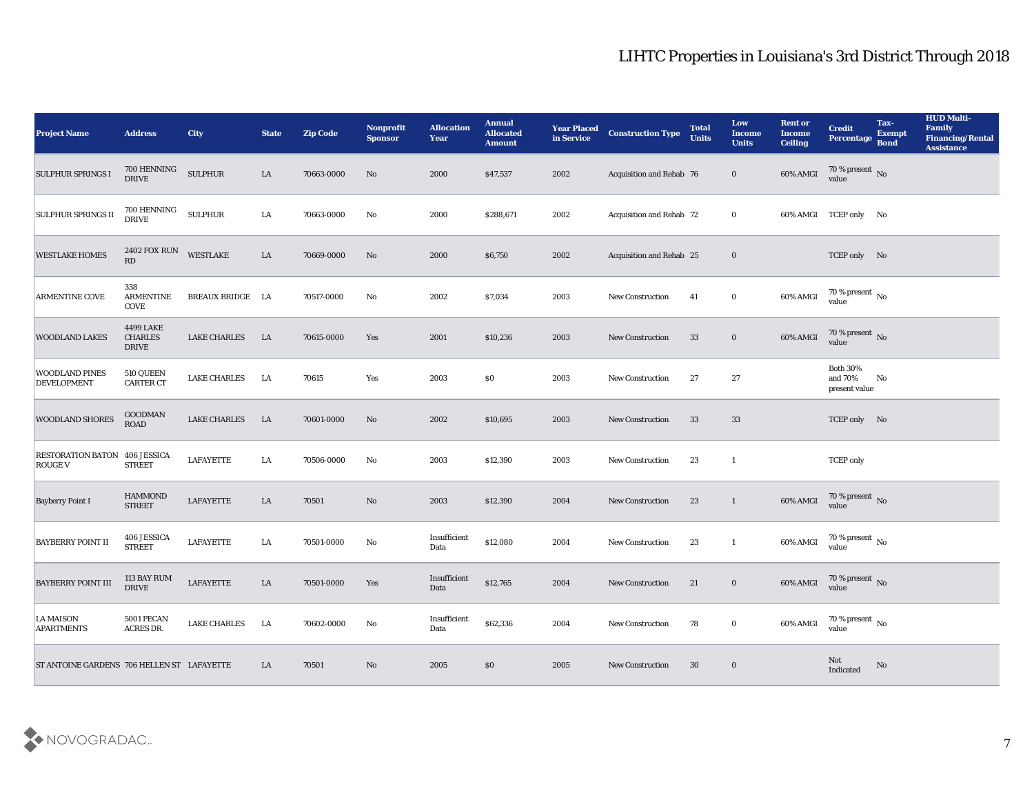| <b>Project Name</b>                                    | <b>Address</b>                              | <b>City</b>         | <b>State</b> | <b>Zip Code</b> | <b>Nonprofit</b><br><b>Sponsor</b> | <b>Allocation</b><br><b>Year</b> | <b>Annual</b><br><b>Allocated</b><br><b>Amount</b> | <b>Year Placed</b><br>in Service | <b>Construction Type</b>        | <b>Total</b><br><b>Units</b> | Low<br><b>Income</b><br><b>Units</b> | <b>Rent or</b><br><b>Income</b><br><b>Ceiling</b> | <b>Credit</b><br>Percentage                 | Tax-<br><b>Exempt</b><br><b>Bond</b> | <b>HUD Multi-</b><br>Family<br><b>Financing/Rental</b><br><b>Assistance</b> |
|--------------------------------------------------------|---------------------------------------------|---------------------|--------------|-----------------|------------------------------------|----------------------------------|----------------------------------------------------|----------------------------------|---------------------------------|------------------------------|--------------------------------------|---------------------------------------------------|---------------------------------------------|--------------------------------------|-----------------------------------------------------------------------------|
| <b>SULPHUR SPRINGS I</b>                               | 700 HENNING<br><b>DRIVE</b>                 | <b>SULPHUR</b>      | LA           | 70663-0000      | No                                 | 2000                             | \$47,537                                           | 2002                             | Acquisition and Rehab 76        |                              | $\bf{0}$                             | 60% AMGI                                          | $70\,\%$ present $\,$ No value              |                                      |                                                                             |
| <b>SULPHUR SPRINGS II</b>                              | 700 HENNING<br><b>DRIVE</b>                 | <b>SULPHUR</b>      | LA           | 70663-0000      | No                                 | 2000                             | \$288,671                                          | 2002                             | Acquisition and Rehab 72        |                              | $\bf{0}$                             |                                                   | 60% AMGI TCEP only No                       |                                      |                                                                             |
| <b>WESTLAKE HOMES</b>                                  | <b>2402 FOX RUN</b><br>RD                   | <b>WESTLAKE</b>     | ${\rm LA}$   | 70669-0000      | No                                 | 2000                             | \$6,750                                            | 2002                             | <b>Acquisition and Rehab 25</b> |                              | $\bf{0}$                             |                                                   | TCEP only No                                |                                      |                                                                             |
| <b>ARMENTINE COVE</b>                                  | 338<br><b>ARMENTINE</b><br>COVE             | BREAUX BRIDGE LA    |              | 70517-0000      | No                                 | 2002                             | \$7,034                                            | 2003                             | New Construction                | 41                           | $\bf{0}$                             | 60% AMGI                                          | $70\,\%$ present $\,$ No value              |                                      |                                                                             |
| <b>WOODLAND LAKES</b>                                  | 4499 LAKE<br><b>CHARLES</b><br><b>DRIVE</b> | <b>LAKE CHARLES</b> | LA           | 70615-0000      | Yes                                | 2001                             | \$10,236                                           | 2003                             | <b>New Construction</b>         | 33                           | $\bf{0}$                             | 60% AMGI                                          | $70\,\%$ present $\,$ No value              |                                      |                                                                             |
| <b>WOODLAND PINES</b><br><b>DEVELOPMENT</b>            | 510 QUEEN<br><b>CARTER CT</b>               | LAKE CHARLES        | LA           | 70615           | Yes                                | 2003                             | \$0                                                | 2003                             | New Construction                | 27                           | 27                                   |                                                   | <b>Both 30%</b><br>and 70%<br>present value | No                                   |                                                                             |
| <b>WOODLAND SHORES</b>                                 | <b>GOODMAN</b><br><b>ROAD</b>               | <b>LAKE CHARLES</b> | LA           | 70601-0000      | No                                 | 2002                             | \$10,695                                           | 2003                             | <b>New Construction</b>         | 33                           | 33                                   |                                                   | TCEP only No                                |                                      |                                                                             |
| <b>RESTORATION BATON 406 JESSICA</b><br><b>ROUGE V</b> | <b>STREET</b>                               | <b>LAFAYETTE</b>    | LA           | 70506-0000      | No                                 | 2003                             | \$12,390                                           | 2003                             | <b>New Construction</b>         | 23                           | $\mathbf{1}$                         |                                                   | <b>TCEP</b> only                            |                                      |                                                                             |
| <b>Bayberry Point I</b>                                | <b>HAMMOND</b><br><b>STREET</b>             | <b>LAFAYETTE</b>    | LA           | 70501           | No                                 | 2003                             | \$12,390                                           | 2004                             | <b>New Construction</b>         | 23                           | $\mathbf{1}$                         | 60% AMGI                                          | $70\,\%$ present $\,$ No value              |                                      |                                                                             |
| <b>BAYBERRY POINT II</b>                               | 406 JESSICA<br><b>STREET</b>                | <b>LAFAYETTE</b>    | LA           | 70501-0000      | No                                 | Insufficient<br>Data             | \$12,080                                           | 2004                             | <b>New Construction</b>         | 23                           | $\mathbf{1}$                         | 60% AMGI                                          | $70\,\%$ present $\,$ No value              |                                      |                                                                             |
| <b>BAYBERRY POINT III</b>                              | 113 BAY RUM<br><b>DRIVE</b>                 | <b>LAFAYETTE</b>    | LA           | 70501-0000      | Yes                                | Insufficient<br>Data             | \$12,765                                           | 2004                             | <b>New Construction</b>         | 21                           | $\bf{0}$                             | 60% AMGI                                          | 70 % present No<br>value                    |                                      |                                                                             |
| LA MAISON<br><b>APARTMENTS</b>                         | 5001 PECAN<br>ACRES DR.                     | <b>LAKE CHARLES</b> | <b>LA</b>    | 70602-0000      | No                                 | Insufficient<br>Data             | \$62,336                                           | 2004                             | New Construction                | 78                           | $\bf{0}$                             | 60% AMGI                                          | 70 % present $\,$ No $\,$<br>value          |                                      |                                                                             |
| ST ANTOINE GARDENS 706 HELLEN ST LAFAYETTE             |                                             |                     | LA           | 70501           | No                                 | 2005                             | $\$0$                                              | 2005                             | <b>New Construction</b>         | 30                           | $\bf{0}$                             |                                                   | Not<br>Indicated                            | No                                   |                                                                             |

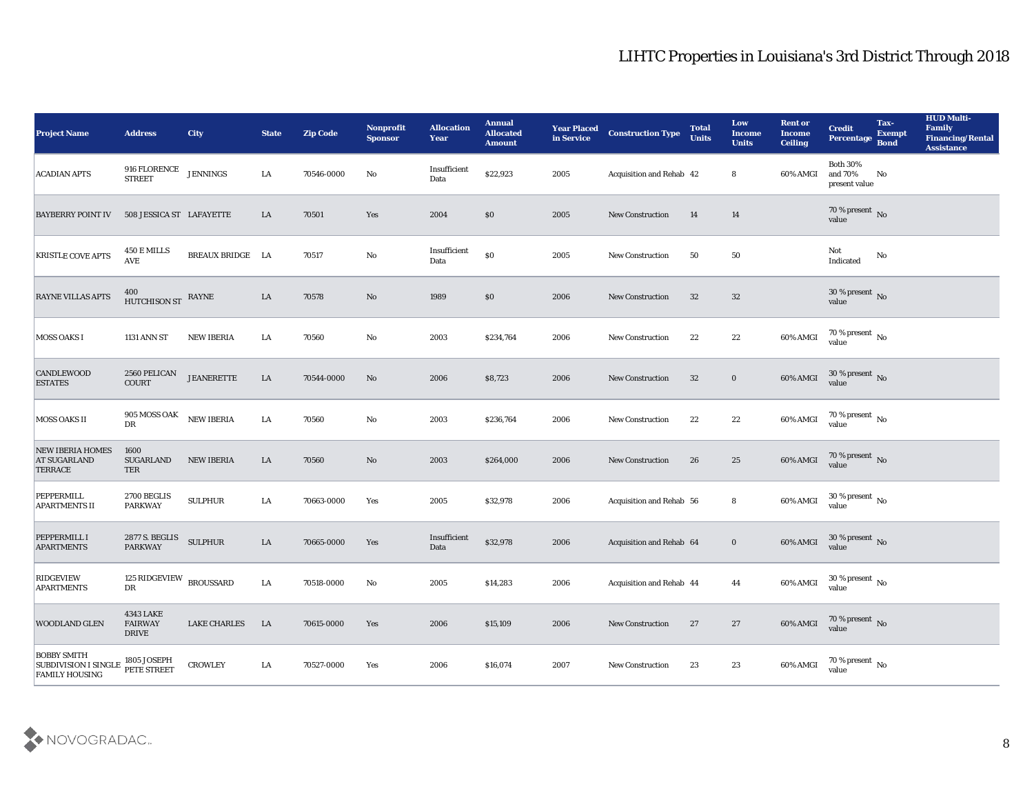| <b>Project Name</b>                                                        | <b>Address</b>                                     | <b>City</b>         | <b>State</b> | <b>Zip Code</b> | Nonprofit<br><b>Sponsor</b> | <b>Allocation</b><br><b>Year</b> | <b>Annual</b><br><b>Allocated</b><br><b>Amount</b> | <b>Year Placed</b><br>in Service | <b>Construction Type</b>        | <b>Total</b><br><b>Units</b> | Low<br><b>Income</b><br><b>Units</b> | <b>Rent or</b><br><b>Income</b><br><b>Ceiling</b> | <b>Credit</b><br>Percentage                 | Tax-<br><b>Exempt</b><br><b>Bond</b> | <b>HUD Multi-</b><br>Family<br><b>Financing/Rental</b><br><b>Assistance</b> |
|----------------------------------------------------------------------------|----------------------------------------------------|---------------------|--------------|-----------------|-----------------------------|----------------------------------|----------------------------------------------------|----------------------------------|---------------------------------|------------------------------|--------------------------------------|---------------------------------------------------|---------------------------------------------|--------------------------------------|-----------------------------------------------------------------------------|
| <b>ACADIAN APTS</b>                                                        | 916 FLORENCE<br><b>STREET</b>                      | <b>JENNINGS</b>     | ${\rm LA}$   | 70546-0000      | No                          | Insufficient<br>Data             | \$22,923                                           | 2005                             | Acquisition and Rehab 42        |                              | 8                                    | 60% AMGI                                          | <b>Both 30%</b><br>and 70%<br>present value | No                                   |                                                                             |
| <b>BAYBERRY POINT IV</b>                                                   | 508 JESSICA ST LAFAYETTE                           |                     | LA           | 70501           | Yes                         | 2004                             | \$0                                                | 2005                             | <b>New Construction</b>         | 14                           | 14                                   |                                                   | 70 % present No<br>value                    |                                      |                                                                             |
| KRISTLE COVE APTS                                                          | 450 E MILLS<br><b>AVE</b>                          | BREAUX BRIDGE LA    |              | 70517           | No                          | Insufficient<br>Data             | $\$0$                                              | 2005                             | <b>New Construction</b>         | 50                           | 50                                   |                                                   | Not<br>Indicated                            | No                                   |                                                                             |
| <b>RAYNE VILLAS APTS</b>                                                   | $400$ $$\rm HUTCHISON\:ST$$ RAYNE                  |                     | ${\rm LA}$   | 70578           | No                          | 1989                             | \$0                                                | 2006                             | <b>New Construction</b>         | 32                           | 32                                   |                                                   | $30\,\%$ present $\,$ No value              |                                      |                                                                             |
| <b>MOSS OAKS I</b>                                                         | <b>1131 ANN ST</b>                                 | <b>NEW IBERIA</b>   | LA           | 70560           | No                          | 2003                             | \$234,764                                          | 2006                             | <b>New Construction</b>         | 22                           | 22                                   | 60% AMGI                                          | $70\,\% \,present \over value$              |                                      |                                                                             |
| CANDLEWOOD<br><b>ESTATES</b>                                               | 2560 PELICAN<br>COURT                              | <b>JEANERETTE</b>   | LA           | 70544-0000      | No                          | 2006                             | \$8,723                                            | 2006                             | <b>New Construction</b>         | 32                           | $\bf{0}$                             | 60% AMGI                                          | $30\,\%$ present $\,$ No value              |                                      |                                                                             |
| MOSS OAKS II                                                               | 905 MOSS OAK<br>${\rm D}{\rm R}$                   | <b>NEW IBERIA</b>   | ${\rm LA}$   | 70560           | No                          | 2003                             | \$236,764                                          | 2006                             | <b>New Construction</b>         | 22                           | 22                                   | 60% AMGI                                          | $70\,\%$ present $\,$ No value              |                                      |                                                                             |
| <b>NEW IBERIA HOMES</b><br><b>AT SUGARLAND</b><br><b>TERRACE</b>           | 1600<br><b>SUGARLAND</b><br>TER                    | <b>NEW IBERIA</b>   | LA           | 70560           | No                          | 2003                             | \$264,000                                          | 2006                             | <b>New Construction</b>         | 26                           | 25                                   | 60% AMGI                                          | $70\,\%$ present $\,$ No value              |                                      |                                                                             |
| PEPPERMILL<br><b>APARTMENTS II</b>                                         | 2700 BEGLIS<br><b>PARKWAY</b>                      | <b>SULPHUR</b>      | LA           | 70663-0000      | Yes                         | 2005                             | \$32,978                                           | 2006                             | <b>Acquisition and Rehab 56</b> |                              | 8                                    | 60% AMGI                                          | $30\,\%$ present $\,$ No value              |                                      |                                                                             |
| PEPPERMILL I<br><b>APARTMENTS</b>                                          | 2877 S. BEGLIS<br>PARKWAY                          | <b>SULPHUR</b>      | ${\rm LA}$   | 70665-0000      | Yes                         | Insufficient<br>Data             | \$32,978                                           | 2006                             | Acquisition and Rehab 64        |                              | $\bf{0}$                             | 60% AMGI                                          | $30\,\%$ present $\,$ No value              |                                      |                                                                             |
| RIDGEVIEW<br><b>APARTMENTS</b>                                             | 125 RIDGEVIEW BROUSSARD<br>DR                      |                     | ${\rm LA}$   | 70518-0000      | No                          | 2005                             | \$14,283                                           | 2006                             | Acquisition and Rehab 44        |                              | 44                                   | 60% AMGI                                          | 30 % present $\,$ No $\,$<br>value          |                                      |                                                                             |
| <b>WOODLAND GLEN</b>                                                       | <b>4343 LAKE</b><br><b>FAIRWAY</b><br><b>DRIVE</b> | <b>LAKE CHARLES</b> | LA           | 70615-0000      | Yes                         | 2006                             | \$15,109                                           | 2006                             | New Construction                | 27                           | 27                                   | 60% AMGI                                          | $70\,\%$ present $\,$ No value              |                                      |                                                                             |
| <b>BOBBY SMITH</b><br><b>SUBDIVISION I SINGLE</b><br><b>FAMILY HOUSING</b> | 1805 JOSEPH<br>PETE STREET                         | <b>CROWLEY</b>      | ${\rm LA}$   | 70527-0000      | Yes                         | 2006                             | \$16,074                                           | 2007                             | New Construction                | 23                           | $23\,$                               | 60% AMGI                                          | 70 % present $\,$ No $\,$<br>value          |                                      |                                                                             |

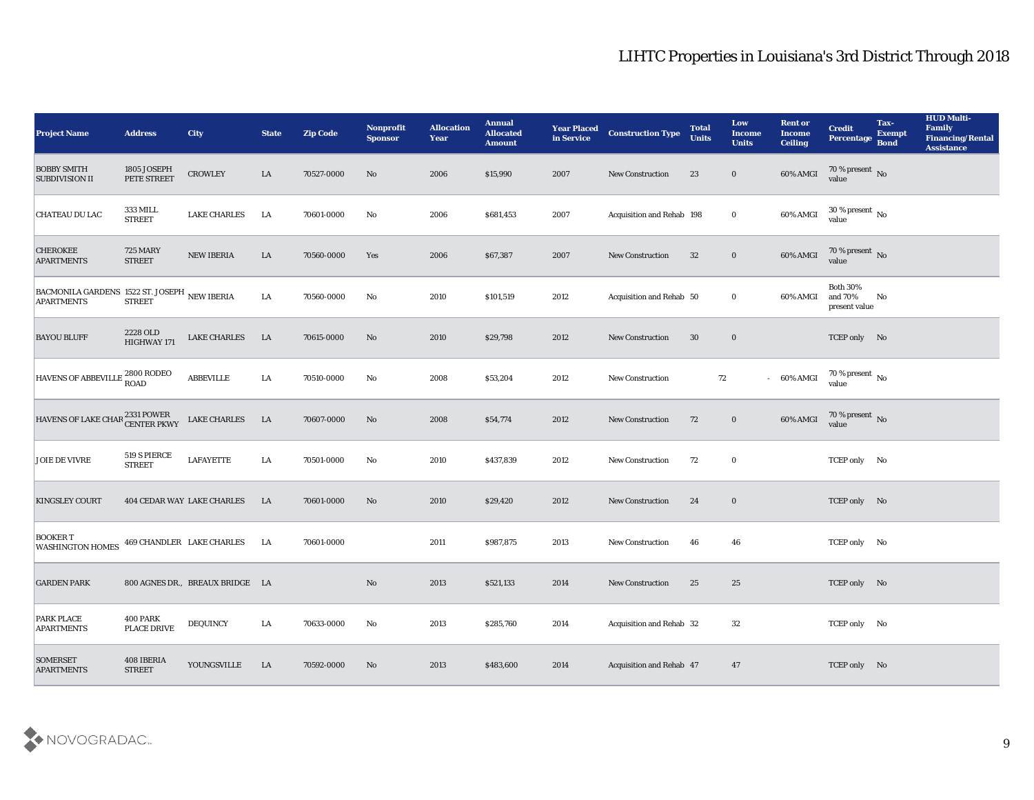| <b>Project Name</b>                                               | <b>Address</b>                   | <b>City</b>                       | <b>State</b> | <b>Zip Code</b> | Nonprofit<br><b>Sponsor</b> | <b>Allocation</b><br><b>Year</b> | <b>Annual</b><br><b>Allocated</b><br><b>Amount</b> | <b>Year Placed</b><br>in Service | <b>Construction Type</b>  | <b>Total</b><br><b>Units</b> | Low<br><b>Income</b><br><b>Units</b> | <b>Rent or</b><br><b>Income</b><br><b>Ceiling</b> | <b>Credit</b><br>Percentage                 | Tax-<br><b>Exempt</b><br><b>Bond</b> | <b>HUD Multi-</b><br>Family<br><b>Financing/Rental</b><br><b>Assistance</b> |
|-------------------------------------------------------------------|----------------------------------|-----------------------------------|--------------|-----------------|-----------------------------|----------------------------------|----------------------------------------------------|----------------------------------|---------------------------|------------------------------|--------------------------------------|---------------------------------------------------|---------------------------------------------|--------------------------------------|-----------------------------------------------------------------------------|
| <b>BOBBY SMITH</b><br><b>SUBDIVISION II</b>                       | 1805 JOSEPH<br>PETE STREET       | <b>CROWLEY</b>                    | LA           | 70527-0000      | No                          | 2006                             | \$15,990                                           | 2007                             | <b>New Construction</b>   | 23                           | $\bf{0}$                             | 60% AMGI                                          | $70\,\%$ present $\,$ No value              |                                      |                                                                             |
| CHATEAU DU LAC                                                    | <b>333 MILL</b><br><b>STREET</b> | <b>LAKE CHARLES</b>               | LA           | 70601-0000      | No                          | 2006                             | \$681,453                                          | 2007                             | Acquisition and Rehab 198 |                              | $\bf{0}$                             | 60% AMGI                                          | $30\,\%$ present $\,$ No value              |                                      |                                                                             |
| <b>CHEROKEE</b><br><b>APARTMENTS</b>                              | <b>725 MARY</b><br><b>STREET</b> | <b>NEW IBERIA</b>                 | LA           | 70560-0000      | Yes                         | 2006                             | \$67,387                                           | 2007                             | <b>New Construction</b>   | 32                           | $\bf{0}$                             | 60% AMGI                                          | $70\,\%$ present $\,$ No value              |                                      |                                                                             |
| BACMONILA GARDENS 1522 ST. JOSEPH NEW IBERIA<br><b>APARTMENTS</b> | <b>STREET</b>                    |                                   | LA           | 70560-0000      | No                          | 2010                             | \$101,519                                          | 2012                             | Acquisition and Rehab 50  |                              | $\bf{0}$                             | 60% AMGI                                          | <b>Both 30%</b><br>and 70%<br>present value | No                                   |                                                                             |
| <b>BAYOU BLUFF</b>                                                | 2228 OLD<br>HIGHWAY 171          | <b>LAKE CHARLES</b>               | LA           | 70615-0000      | No                          | 2010                             | \$29,798                                           | 2012                             | <b>New Construction</b>   | 30                           | $\bf{0}$                             |                                                   | TCEP only No                                |                                      |                                                                             |
| HAVENS OF ABBEVILLE 2800 RODEO                                    |                                  | <b>ABBEVILLE</b>                  | LA           | 70510-0000      | No                          | 2008                             | \$53,204                                           | 2012                             | New Construction          | 72                           |                                      | $-60\%$ AMGI                                      | $70\,\%$ present $\,$ No value              |                                      |                                                                             |
| HAVENS OF LAKE CHAR <sup>2331</sup> POWER<br>CENTER PKWY          |                                  | <b>LAKE CHARLES</b>               | $\rm LA$     | 70607-0000      | No                          | 2008                             | \$54,774                                           | 2012                             | <b>New Construction</b>   | 72                           | $\bf{0}$                             | 60% AMGI                                          | $70\,\%$ present $\,$ No value              |                                      |                                                                             |
| <b>JOIE DE VIVRE</b>                                              | 519 S PIERCE<br><b>STREET</b>    | <b>LAFAYETTE</b>                  | LA           | 70501-0000      | No                          | 2010                             | \$437,839                                          | 2012                             | New Construction          | 72                           | $\bf{0}$                             |                                                   | TCEP only No                                |                                      |                                                                             |
| <b>KINGSLEY COURT</b>                                             |                                  | <b>404 CEDAR WAY LAKE CHARLES</b> | LA           | 70601-0000      | No                          | 2010                             | \$29,420                                           | 2012                             | <b>New Construction</b>   | 24                           | $\bf{0}$                             |                                                   | TCEP only No                                |                                      |                                                                             |
| <b>BOOKER T</b><br><b>WASHINGTON HOMES</b>                        |                                  | 469 CHANDLER LAKE CHARLES         | LA           | 70601-0000      |                             | 2011                             | \$987,875                                          | 2013                             | <b>New Construction</b>   | 46                           | 46                                   |                                                   | TCEP only No                                |                                      |                                                                             |
| <b>GARDEN PARK</b>                                                |                                  | 800 AGNES DR., BREAUX BRIDGE LA   |              |                 | No                          | 2013                             | \$521,133                                          | 2014                             | <b>New Construction</b>   | 25                           | 25                                   |                                                   | TCEP only No                                |                                      |                                                                             |
| <b>PARK PLACE</b><br><b>APARTMENTS</b>                            | 400 PARK<br>PLACE DRIVE          | <b>DEQUINCY</b>                   | LA           | 70633-0000      | $\mathbf{N}\mathbf{o}$      | 2013                             | \$285,760                                          | 2014                             | Acquisition and Rehab 32  |                              | 32                                   |                                                   | TCEP only No                                |                                      |                                                                             |
| <b>SOMERSET</b><br><b>APARTMENTS</b>                              | 408 IBERIA<br><b>STREET</b>      | YOUNGSVILLE                       | $\rm LA$     | 70592-0000      | $\rm\thinspace No$          | 2013                             | \$483,600                                          | 2014                             | Acquisition and Rehab 47  |                              | 47                                   |                                                   | TCEP only No                                |                                      |                                                                             |

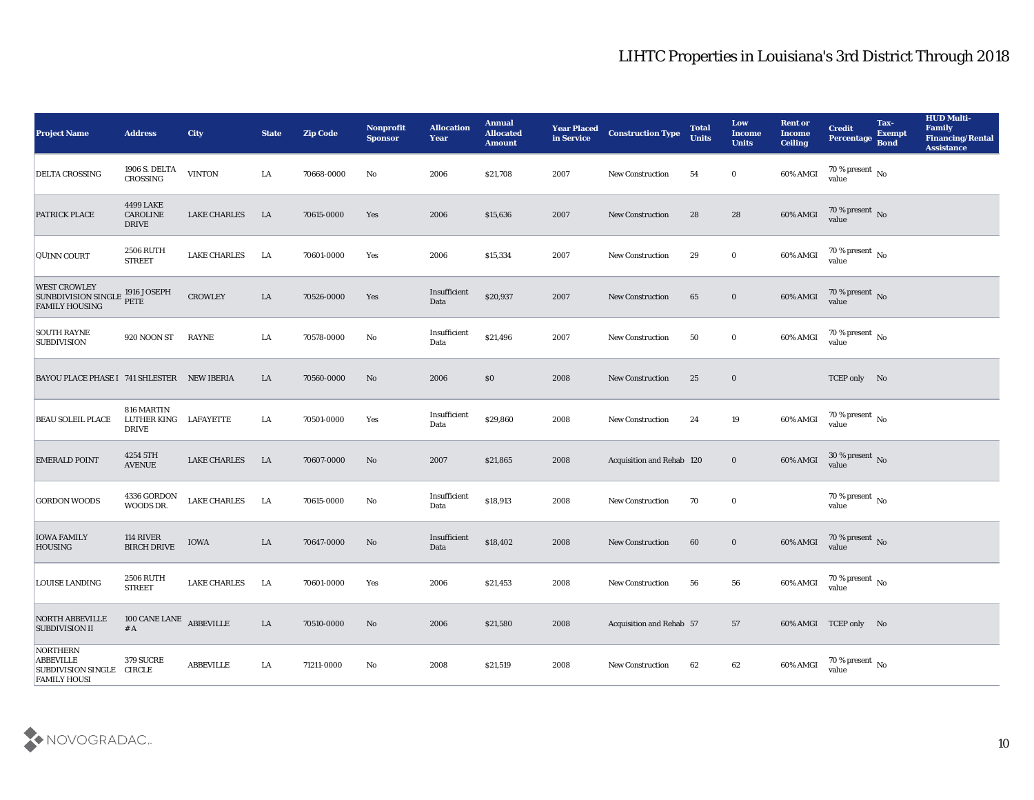| <b>Project Name</b>                                                              | <b>Address</b>                               | <b>City</b>         | <b>State</b> | <b>Zip Code</b> | Nonprofit<br><b>Sponsor</b> | <b>Allocation</b><br>Year | <b>Annual</b><br><b>Allocated</b><br><b>Amount</b> | <b>Year Placed</b><br>in Service | <b>Construction Type</b>  | <b>Total</b><br><b>Units</b> | Low<br><b>Income</b><br><b>Units</b> | <b>Rent or</b><br><b>Income</b><br><b>Ceiling</b> | <b>Credit</b><br><b>Percentage</b>     | Tax-<br><b>Exempt</b><br><b>Bond</b> | <b>HUD Multi-</b><br>Family<br><b>Financing/Rental</b><br><b>Assistance</b> |
|----------------------------------------------------------------------------------|----------------------------------------------|---------------------|--------------|-----------------|-----------------------------|---------------------------|----------------------------------------------------|----------------------------------|---------------------------|------------------------------|--------------------------------------|---------------------------------------------------|----------------------------------------|--------------------------------------|-----------------------------------------------------------------------------|
| <b>DELTA CROSSING</b>                                                            | 1906 S. DELTA<br>CROSSING                    | <b>VINTON</b>       | LA           | 70668-0000      | No                          | 2006                      | \$21,708                                           | 2007                             | <b>New Construction</b>   | 54                           | $\bf{0}$                             | 60% AMGI                                          | 70 % present $\,$ No $\,$<br>value     |                                      |                                                                             |
| <b>PATRICK PLACE</b>                                                             | 4499 LAKE<br><b>CAROLINE</b><br><b>DRIVE</b> | <b>LAKE CHARLES</b> | <b>LA</b>    | 70615-0000      | Yes                         | 2006                      | \$15,636                                           | 2007                             | <b>New Construction</b>   | 28                           | 28                                   | 60% AMGI                                          | $70\,\%$ present $\,$ No value         |                                      |                                                                             |
| QUINN COURT                                                                      | <b>2506 RUTH</b><br><b>STREET</b>            | <b>LAKE CHARLES</b> | LA           | 70601-0000      | Yes                         | 2006                      | \$15,334                                           | 2007                             | <b>New Construction</b>   | 29                           | $\bf{0}$                             | 60% AMGI                                          | $70\,\%$ present $\,$ No value         |                                      |                                                                             |
| <b>WEST CROWLEY</b><br>SUNBDIVISION SINGLE 1916 JOSEPH<br><b>FAMILY HOUSING</b>  | PETE                                         | <b>CROWLEY</b>      | ${\rm LA}$   | 70526-0000      | Yes                         | Insufficient<br>Data      | \$20,937                                           | 2007                             | <b>New Construction</b>   | 65                           | $\bf{0}$                             | 60% AMGI                                          | $70\,\%$ present $\,$ No value         |                                      |                                                                             |
| <b>SOUTH RAYNE</b><br><b>SUBDIVISION</b>                                         | 920 NOON ST                                  | <b>RAYNE</b>        | LA           | 70578-0000      | No                          | Insufficient<br>Data      | \$21,496                                           | 2007                             | <b>New Construction</b>   | 50                           | $\bf{0}$                             | 60% AMGI                                          | 70 % present No<br>value               |                                      |                                                                             |
| BAYOU PLACE PHASE I 741 SHLESTER NEW IBERIA                                      |                                              |                     | LA           | 70560-0000      | No                          | 2006                      | \$0                                                | 2008                             | <b>New Construction</b>   | 25                           | $\bf{0}$                             |                                                   | TCEP only No                           |                                      |                                                                             |
| <b>BEAU SOLEIL PLACE</b>                                                         | 816 MARTIN<br>LUTHER KING<br><b>DRIVE</b>    | LAFAYETTE           | LA           | 70501-0000      | Yes                         | Insufficient<br>Data      | \$29,860                                           | 2008                             | <b>New Construction</b>   | 24                           | 19                                   | 60% AMGI                                          | 70 % present $\,$ No $\,$<br>value     |                                      |                                                                             |
| <b>EMERALD POINT</b>                                                             | 4254 5TH<br><b>AVENUE</b>                    | <b>LAKE CHARLES</b> | <b>LA</b>    | 70607-0000      | No                          | 2007                      | \$21,865                                           | 2008                             | Acquisition and Rehab 120 |                              | $\bf{0}$                             | 60% AMGI                                          | $30\,\%$ present $\,$ No $\,$<br>value |                                      |                                                                             |
| <b>GORDON WOODS</b>                                                              | 4336 GORDON<br>WOODS DR.                     | <b>LAKE CHARLES</b> | LA           | 70615-0000      | $\mathbf{N}\mathbf{o}$      | Insufficient<br>Data      | \$18,913                                           | 2008                             | <b>New Construction</b>   | 70                           | $\bf{0}$                             |                                                   | 70 % present $\overline{N}$ o<br>value |                                      |                                                                             |
| <b>IOWA FAMILY</b><br><b>HOUSING</b>                                             | 114 RIVER<br><b>BIRCH DRIVE</b>              | IOWA                | LA           | 70647-0000      | No                          | Insufficient<br>Data      | \$18,402                                           | 2008                             | <b>New Construction</b>   | 60                           | $\bf{0}$                             | 60% AMGI                                          | $70\,\%$ present $\,$ No value         |                                      |                                                                             |
| LOUISE LANDING                                                                   | <b>2506 RUTH</b><br><b>STREET</b>            | <b>LAKE CHARLES</b> | LA           | 70601-0000      | Yes                         | 2006                      | \$21,453                                           | 2008                             | <b>New Construction</b>   | 56                           | 56                                   | 60% AMGI                                          | 70 % present $\,$ No $\,$<br>value     |                                      |                                                                             |
| <b>NORTH ABBEVILLE</b><br><b>SUBDIVISION II</b>                                  | 100 CANE LANE<br># A                         | <b>ABBEVILLE</b>    | ${\rm LA}$   | 70510-0000      | $\rm\thinspace No$          | 2006                      | \$21,580                                           | 2008                             | Acquisition and Rehab 57  |                              | 57                                   |                                                   | 60% AMGI TCEP only No                  |                                      |                                                                             |
| NORTHERN<br><b>ABBEVILLE</b><br>SUBDIVISION SINGLE CIRCLE<br><b>FAMILY HOUSI</b> | <b>379 SUCRE</b>                             | ABBEVILLE           | LA           | 71211-0000      | $\mathbf{N}\mathbf{o}$      | 2008                      | \$21,519                                           | 2008                             | New Construction          | 62                           | 62                                   | 60% AMGI                                          | 70 % present $\,$ No $\,$<br>value     |                                      |                                                                             |